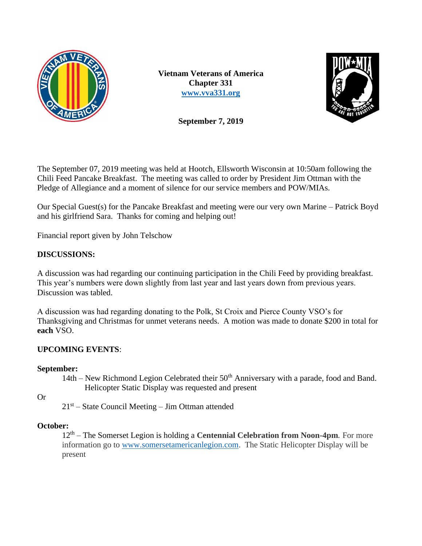

**Vietnam Veterans of America Chapter 331 [www.vva331.org](http://www.vva331.org/)**



**September 7, 2019**

The September 07, 2019 meeting was held at Hootch, Ellsworth Wisconsin at 10:50am following the Chili Feed Pancake Breakfast. The meeting was called to order by President Jim Ottman with the Pledge of Allegiance and a moment of silence for our service members and POW/MIAs.

Our Special Guest(s) for the Pancake Breakfast and meeting were our very own Marine – Patrick Boyd and his girlfriend Sara. Thanks for coming and helping out!

Financial report given by John Telschow

## **DISCUSSIONS:**

A discussion was had regarding our continuing participation in the Chili Feed by providing breakfast. This year's numbers were down slightly from last year and last years down from previous years. Discussion was tabled.

A discussion was had regarding donating to the Polk, St Croix and Pierce County VSO's for Thanksgiving and Christmas for unmet veterans needs. A motion was made to donate \$200 in total for **each** VSO.

# **UPCOMING EVENTS**:

## **September:**

14th – New Richmond Legion Celebrated their  $50<sup>th</sup>$  Anniversary with a parade, food and Band. Helicopter Static Display was requested and present

Or

 $21<sup>st</sup>$  – State Council Meeting – Jim Ottman attended

## **October:**

12<sup>th</sup> – The Somerset Legion is holding a **Centennial Celebration from Noon-4pm**. For more information go to [www.somersetamericanlegion.com.](http://www.somersetamericanlegion.com/) The Static Helicopter Display will be present